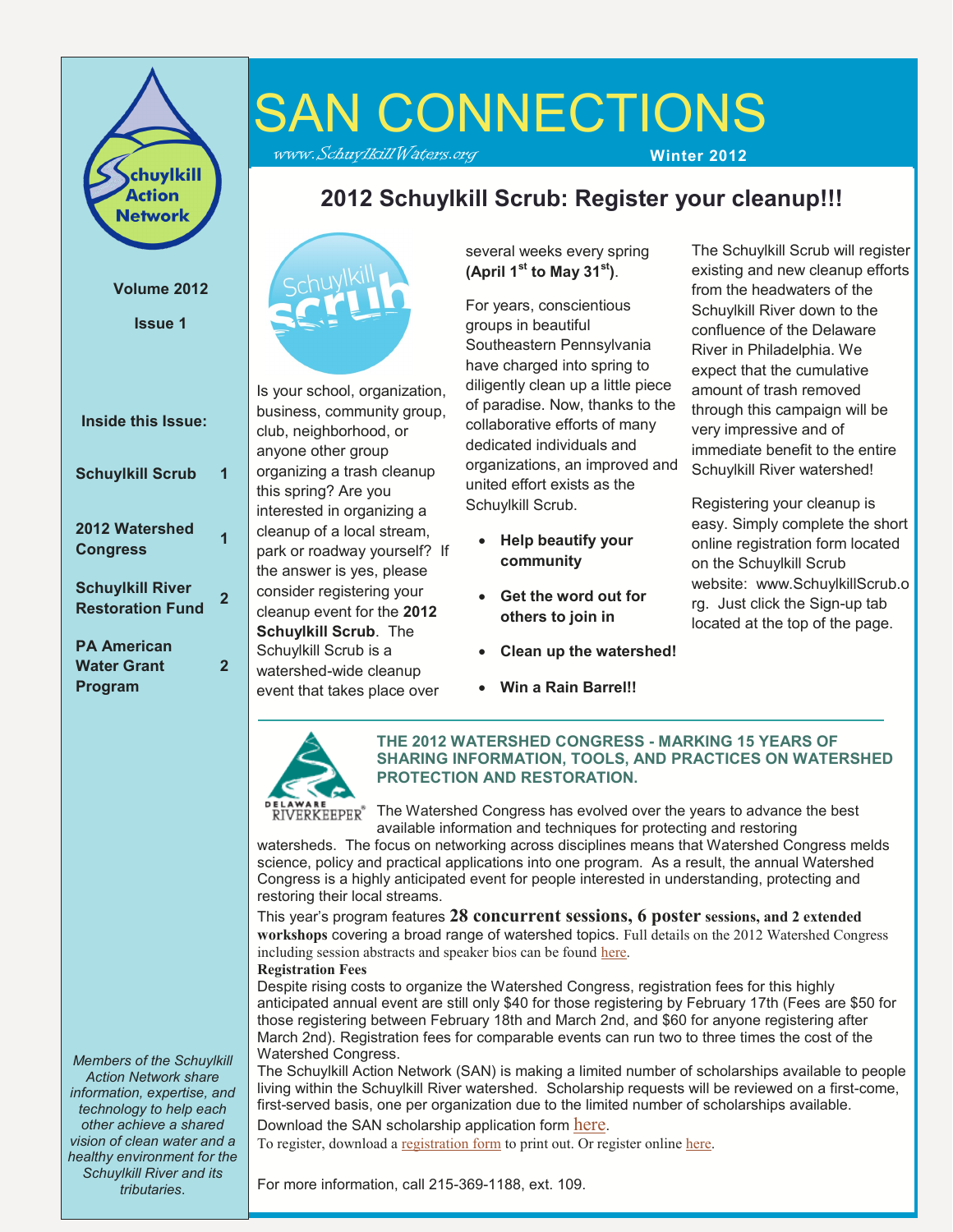

#### **Volume 2012**

**Issue 1**

| Inside this Issue:                                  |   |
|-----------------------------------------------------|---|
| <b>Schuylkill Scrub</b>                             | 1 |
| 2012 Watershed<br><b>Congress</b>                   | 1 |
| <b>Schuylkill River</b><br><b>Restoration Fund</b>  | 2 |
| <b>PA American</b><br><b>Water Grant</b><br>Program | 2 |

*Members of the Schuylkill Action Network share information, expertise, and technology to help each other achieve a shared vision of clean water and a healthy environment for the Schuylkill River and its tributaries*.

# SAN CONNECTIONS

www.SchuylkillWaters.org **Winter 2012**

## **2012 Schuylkill Scrub: Register your cleanup!!!**



Is your school, organization, business, community group, club, neighborhood, or anyone other group organizing a trash cleanup this spring? Are you interested in organizing a cleanup of a local stream, park or roadway yourself? If the answer is yes, please consider registering your cleanup event for the **2012 Schuylkill Scrub**. The Schuylkill Scrub is a watershed-wide cleanup event that takes place over

several weeks every spring **(April 1st to May 31st)**.

For years, conscientious groups in beautiful Southeastern Pennsylvania have charged into spring to diligently clean up a little piece of paradise. Now, thanks to the collaborative efforts of many dedicated individuals and organizations, an improved and united effort exists as the Schuylkill Scrub.

- **Help beautify your community**
- **Get the word out for others to join in**
- **Clean up the watershed!**
- **Win a Rain Barrel!!**

The Schuylkill Scrub will register existing and new cleanup efforts from the headwaters of the Schuylkill River down to the confluence of the Delaware River in Philadelphia. We expect that the cumulative amount of trash removed through this campaign will be very impressive and of immediate benefit to the entire Schuylkill River watershed!

Registering your cleanup is easy. Simply complete the short online registration form located on the Schuylkill Scrub website: www.SchuylkillScrub.o rg. Just click the Sign-up tab located at the top of the page.



**THE 2012 WATERSHED CONGRESS - MARKING 15 YEARS OF SHARING INFORMATION, TOOLS, AND PRACTICES ON WATERSHED PROTECTION AND RESTORATION.**

The Watershed Congress has evolved over the years to advance the best available information and techniques for protecting and restoring

watersheds. The focus on networking across disciplines means that Watershed Congress melds science, policy and practical applications into one program. As a result, the annual Watershed Congress is a highly anticipated event for people interested in understanding, protecting and restoring their local streams.

This year's program features **28 concurrent sessions, 6 poster sessions, and 2 extended workshops** covering a broad range of watershed topics. Full details on the 2012 Watershed Congress including session abstracts and speaker bios can be found [here.](http://www.delawareriverkeeper.org/Pdf/2012_WC_Online_Detail.pdf)

**Registration Fees**

Despite rising costs to organize the Watershed Congress, registration fees for this highly anticipated annual event are still only \$40 for those registering by February 17th (Fees are \$50 for those registering between February 18th and March 2nd, and \$60 for anyone registering after March 2nd). Registration fees for comparable events can run two to three times the cost of the Watershed Congress.

The Schuylkill Action Network (SAN) is making a limited number of scholarships available to people living within the Schuylkill River watershed. Scholarship requests will be reviewed on a first-come, first-served basis, one per organization due to the limited number of scholarships available. Download the SAN scholarship application form [here](http://www.delawareriverkeeper.org/Pdf/2012WC_SAN_ScholarApp_Final.pdf).

To register, download a [registration form](http://www.delawareriverkeeper.org/Pdf/2012_WC_RegistrationForm.pdf) to print out. Or register online [here.](http://events.r20.constantcontact.com/register/event?oeidk=a07e5gnyccf7557df45&llr=ese8e9iab)

For more information, call 215-369-1188, ext. 109.